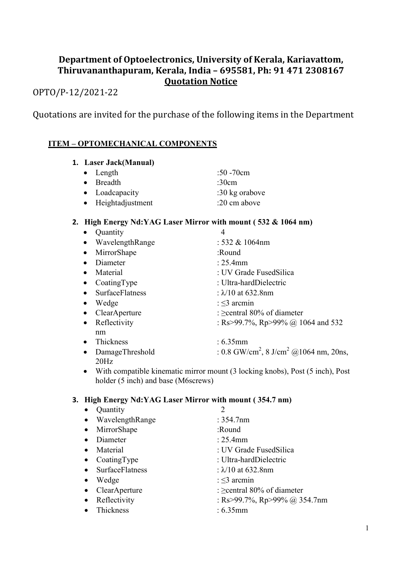## Department of Optoelectronics, University of Kerala, Kariavattom, Thiruvananthapuram, Kerala, India – 695581, Ph: 91 471 2308167 Quotation Notice

# OPTO/P-12/2021-22

Quotations are invited for the purchase of the following items in the Department

### ITEM – OPTOMECHANICAL COMPONENTS

#### 1. Laser Jack(Manual)

| $\bullet$ Length   | $:50 - 70$ cm  |
|--------------------|----------------|
| $\bullet$ Breadth  | :30 $cm$       |
| • Loadcapacity     | :30 kg orabove |
| • Heightadjustment | :20 cm above   |

#### 2. High Energy Nd:YAG Laser Mirror with mount ( 532 & 1064 nm)

| Quantity               | 4                                                               |
|------------------------|-----------------------------------------------------------------|
| WavelengthRange        | $: 532 \& 1064$ nm                                              |
| MirrorShape            | :Round                                                          |
| Diameter               | $: 25.4 \text{mm}$                                              |
| Material               | : UV Grade FusedSilica                                          |
| CoatingType            | : Ultra-hardDielectric                                          |
| <b>SurfaceFlatness</b> | : $\lambda$ 10 at 632.8nm                                       |
| Wedge                  | $\approx$ 3 arcmin                                              |
| ClearAperture          | : $\ge$ central 80% of diameter                                 |
| Reflectivity           | : Rs>99.7%, Rp>99% @ 1064 and 532                               |
| nm                     |                                                                 |
| Thickness              | : 6.35mm                                                        |
| DamageThreshold        | : 0.8 GW/cm <sup>2</sup> , 8 J/cm <sup>2</sup> @ 1064 nm, 20ns, |
| 20Hz                   |                                                                 |

 With compatible kinematic mirror mount (3 locking knobs), Post (5 inch), Post holder (5 inch) and base (M6screws)

#### 3. High Energy Nd:YAG Laser Mirror with mount ( 354.7 nm)

|           | Quantity               | 2                               |
|-----------|------------------------|---------------------------------|
| $\bullet$ | WavelengthRange        | : 354.7nm                       |
| $\bullet$ | MirrorShape            | :Round                          |
|           | Diameter               | : 25.4mm                        |
|           | Material               | : UV Grade FusedSilica          |
| $\bullet$ | CoatingType            | : Ultra-hardDielectric          |
|           | <b>SurfaceFlatness</b> | : $\lambda$ /10 at 632.8nm      |
|           | Wedge                  | : $\leq$ 3 arcmin               |
|           | ClearAperture          | : $\ge$ central 80% of diameter |
|           | Reflectivity           | : Rs>99.7%, Rp>99% @ 354.7nm    |
|           | Thickness              | : 6.35mm                        |